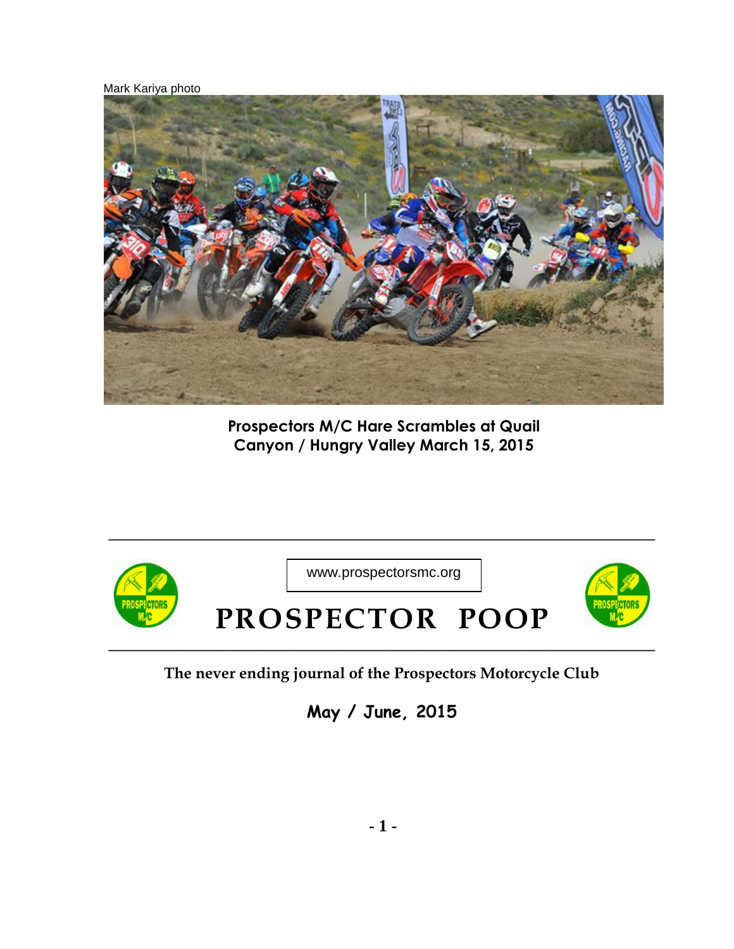Mark Kariya photo



**Prospectors M/C Hare Scrambles at Quail Canyon / Hungry Valley March 15, 2015**



www.prospectorsmc.org

**\_\_\_\_\_\_\_\_\_\_\_\_\_\_\_\_\_\_\_\_\_\_\_\_\_\_\_\_\_\_\_\_\_\_\_\_\_\_\_\_\_\_\_\_\_\_\_\_\_\_\_\_\_\_\_\_\_\_\_\_\_\_\_\_\_\_\_\_\_\_\_\_\_\_\_\_**



## **PROSPECTOR POOP**

**The never ending journal of the Prospectors Motorcycle Club**

**May / June, 2015**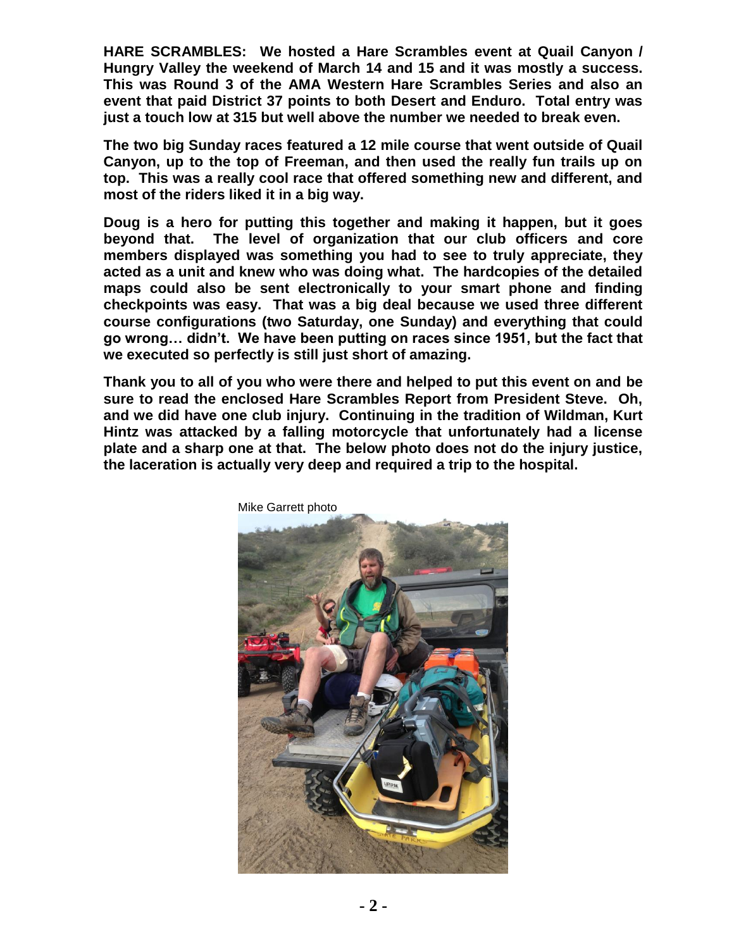**HARE SCRAMBLES: We hosted a Hare Scrambles event at Quail Canyon / Hungry Valley the weekend of March 14 and 15 and it was mostly a success. This was Round 3 of the AMA Western Hare Scrambles Series and also an event that paid District 37 points to both Desert and Enduro. Total entry was just a touch low at 315 but well above the number we needed to break even.** 

**The two big Sunday races featured a 12 mile course that went outside of Quail Canyon, up to the top of Freeman, and then used the really fun trails up on top. This was a really cool race that offered something new and different, and most of the riders liked it in a big way.** 

**Doug is a hero for putting this together and making it happen, but it goes beyond that. The level of organization that our club officers and core members displayed was something you had to see to truly appreciate, they acted as a unit and knew who was doing what. The hardcopies of the detailed maps could also be sent electronically to your smart phone and finding checkpoints was easy. That was a big deal because we used three different course configurations (two Saturday, one Sunday) and everything that could go wrong… didn't. We have been putting on races since 1951, but the fact that we executed so perfectly is still just short of amazing.** 

**Thank you to all of you who were there and helped to put this event on and be sure to read the enclosed Hare Scrambles Report from President Steve. Oh, and we did have one club injury. Continuing in the tradition of Wildman, Kurt Hintz was attacked by a falling motorcycle that unfortunately had a license plate and a sharp one at that. The below photo does not do the injury justice, the laceration is actually very deep and required a trip to the hospital.** 



Mike Garrett photo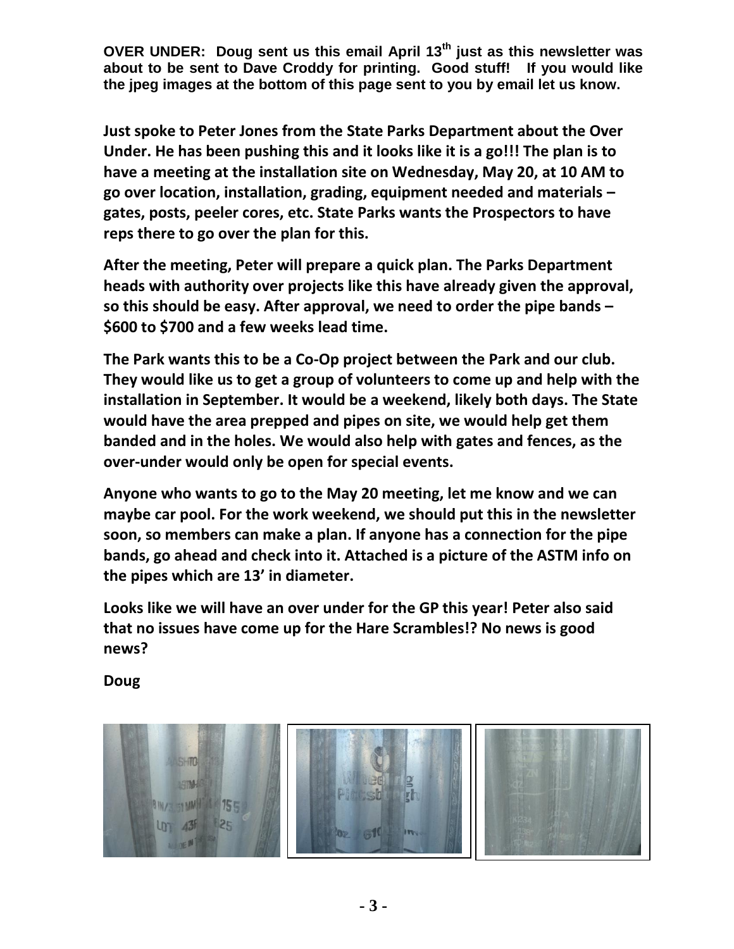**OVER UNDER: Doug sent us this email April 13th just as this newsletter was about to be sent to Dave Croddy for printing. Good stuff! If you would like the jpeg images at the bottom of this page sent to you by email let us know.** 

**Just spoke to Peter Jones from the State Parks Department about the Over Under. He has been pushing this and it looks like it is a go!!! The plan is to have a meeting at the installation site on Wednesday, May 20, at 10 AM to go over location, installation, grading, equipment needed and materials – gates, posts, peeler cores, etc. State Parks wants the Prospectors to have reps there to go over the plan for this.**

**After the meeting, Peter will prepare a quick plan. The Parks Department heads with authority over projects like this have already given the approval, so this should be easy. After approval, we need to order the pipe bands – \$600 to \$700 and a few weeks lead time.** 

**The Park wants this to be a Co-Op project between the Park and our club. They would like us to get a group of volunteers to come up and help with the installation in September. It would be a weekend, likely both days. The State would have the area prepped and pipes on site, we would help get them banded and in the holes. We would also help with gates and fences, as the over-under would only be open for special events.**

**Anyone who wants to go to the May 20 meeting, let me know and we can maybe car pool. For the work weekend, we should put this in the newsletter soon, so members can make a plan. If anyone has a connection for the pipe bands, go ahead and check into it. Attached is a picture of the ASTM info on the pipes which are 13' in diameter.** 

**Looks like we will have an over under for the GP this year! Peter also said that no issues have come up for the Hare Scrambles!? No news is good news?**

**Doug** 

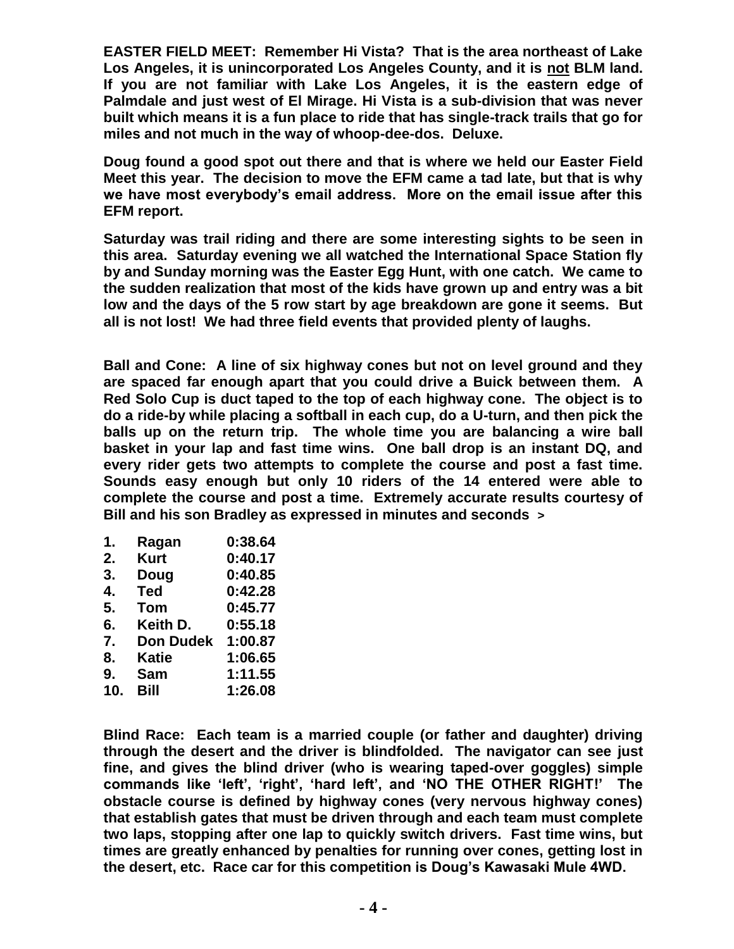**EASTER FIELD MEET: Remember Hi Vista? That is the area northeast of Lake Los Angeles, it is unincorporated Los Angeles County, and it is not BLM land. If you are not familiar with Lake Los Angeles, it is the eastern edge of Palmdale and just west of El Mirage. Hi Vista is a sub-division that was never built which means it is a fun place to ride that has single-track trails that go for miles and not much in the way of whoop-dee-dos. Deluxe.** 

**Doug found a good spot out there and that is where we held our Easter Field Meet this year. The decision to move the EFM came a tad late, but that is why we have most everybody's email address. More on the email issue after this EFM report.** 

**Saturday was trail riding and there are some interesting sights to be seen in this area. Saturday evening we all watched the International Space Station fly by and Sunday morning was the Easter Egg Hunt, with one catch. We came to the sudden realization that most of the kids have grown up and entry was a bit low and the days of the 5 row start by age breakdown are gone it seems. But all is not lost! We had three field events that provided plenty of laughs.** 

**Ball and Cone: A line of six highway cones but not on level ground and they are spaced far enough apart that you could drive a Buick between them. A Red Solo Cup is duct taped to the top of each highway cone. The object is to do a ride-by while placing a softball in each cup, do a U-turn, and then pick the balls up on the return trip. The whole time you are balancing a wire ball basket in your lap and fast time wins. One ball drop is an instant DQ, and every rider gets two attempts to complete the course and post a fast time. Sounds easy enough but only 10 riders of the 14 entered were able to complete the course and post a time. Extremely accurate results courtesy of Bill and his son Bradley as expressed in minutes and seconds >**

- **1. Ragan 0:38.64 2. Kurt 0:40.17 3. Doug 0:40.85 4. Ted 0:42.28 5. Tom 0:45.77 6. Keith D. 0:55.18 7. Don Dudek 1:00.87 8. Katie 1:06.65 9. Sam 1:11.55**
- **10. Bill 1:26.08**

**Blind Race: Each team is a married couple (or father and daughter) driving through the desert and the driver is blindfolded. The navigator can see just fine, and gives the blind driver (who is wearing taped-over goggles) simple commands like 'left', 'right', 'hard left', and 'NO THE OTHER RIGHT!' The obstacle course is defined by highway cones (very nervous highway cones) that establish gates that must be driven through and each team must complete two laps, stopping after one lap to quickly switch drivers. Fast time wins, but times are greatly enhanced by penalties for running over cones, getting lost in the desert, etc. Race car for this competition is Doug's Kawasaki Mule 4WD.**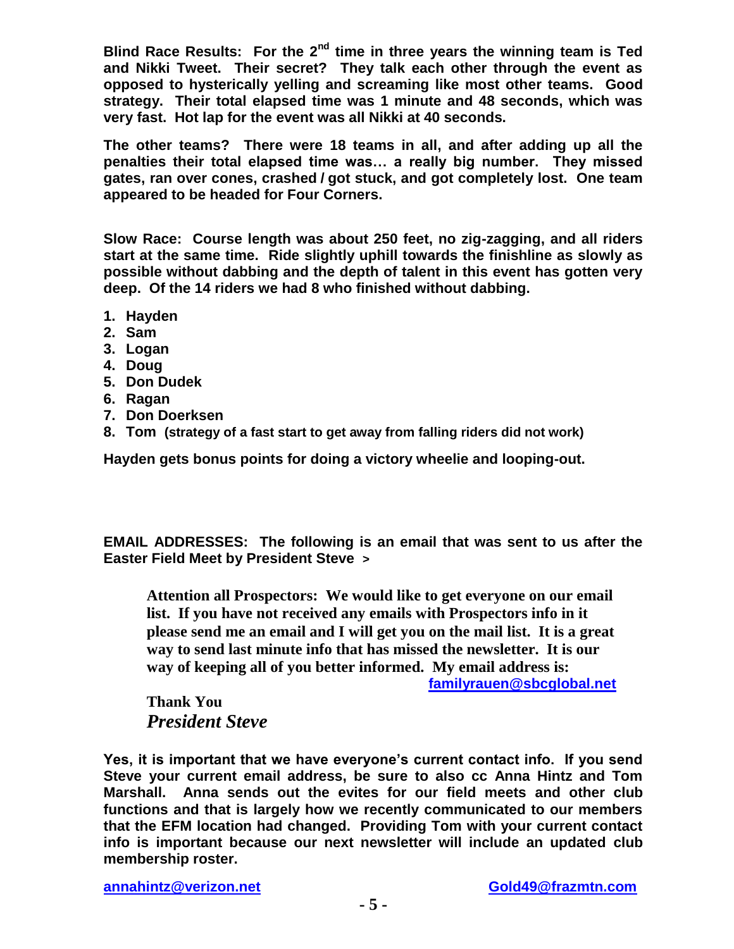**Blind Race Results: For the 2nd time in three years the winning team is Ted and Nikki Tweet. Their secret? They talk each other through the event as opposed to hysterically yelling and screaming like most other teams. Good strategy. Their total elapsed time was 1 minute and 48 seconds, which was very fast. Hot lap for the event was all Nikki at 40 seconds.** 

**The other teams? There were 18 teams in all, and after adding up all the penalties their total elapsed time was… a really big number. They missed gates, ran over cones, crashed / got stuck, and got completely lost. One team appeared to be headed for Four Corners.** 

**Slow Race: Course length was about 250 feet, no zig-zagging, and all riders start at the same time. Ride slightly uphill towards the finishline as slowly as possible without dabbing and the depth of talent in this event has gotten very deep. Of the 14 riders we had 8 who finished without dabbing.** 

- **1. Hayden**
- **2. Sam**
- **3. Logan**
- **4. Doug**
- **5. Don Dudek**
- **6. Ragan**
- **7. Don Doerksen**
- **8. Tom (strategy of a fast start to get away from falling riders did not work)**

**Hayden gets bonus points for doing a victory wheelie and looping-out.** 

**EMAIL ADDRESSES: The following is an email that was sent to us after the Easter Field Meet by President Steve >**

**Attention all Prospectors: We would like to get everyone on our email list. If you have not received any emails with Prospectors info in it please send me an email and I will get you on the mail list. It is a great way to send last minute info that has missed the newsletter. It is our way of keeping all of you better informed. My email address is:** 

**[familyrauen@sbcglobal.net](mailto:familyrauen@sbcglobal.net)**

**Thank You**  *President Steve* 

**Yes, it is important that we have everyone's current contact info. If you send Steve your current email address, be sure to also cc Anna Hintz and Tom Marshall. Anna sends out the evites for our field meets and other club functions and that is largely how we recently communicated to our members that the EFM location had changed. Providing Tom with your current contact info is important because our next newsletter will include an updated club membership roster.**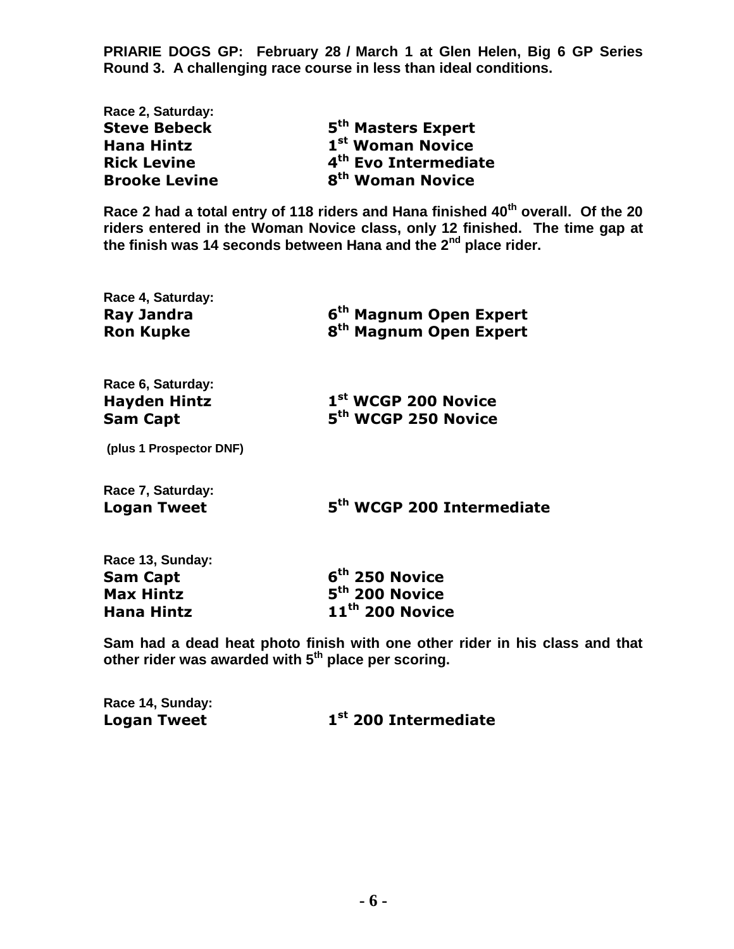**PRIARIE DOGS GP: February 28 / March 1 at Glen Helen, Big 6 GP Series Round 3. A challenging race course in less than ideal conditions.** 

| Ract L. Jaluruay.    |                                  |
|----------------------|----------------------------------|
| <b>Steve Bebeck</b>  | 5 <sup>th</sup> Masters Expert   |
| <b>Hana Hintz</b>    | 1 <sup>st</sup> Woman Novice     |
| <b>Rick Levine</b>   | 4 <sup>th</sup> Evo Intermediate |
| <b>Brooke Levine</b> | 8 <sup>th</sup> Woman Novice     |

**Race 2 had a total entry of 118 riders and Hana finished 40th overall. Of the 20 riders entered in the Woman Novice class, only 12 finished. The time gap at the finish was 14 seconds between Hana and the 2nd place rider.** 

| Race 4, Saturday:<br><b>Ray Jandra</b><br><b>Ron Kupke</b> | 6 <sup>th</sup> Magnum Open Expert<br>8 <sup>th</sup> Magnum Open Expert |  |
|------------------------------------------------------------|--------------------------------------------------------------------------|--|
| Race 6, Saturday:<br><b>Hayden Hintz</b>                   | 1st WCGP 200 Novice                                                      |  |

**th WCGP 250 Novice**

**(plus 1 Prospector DNF)** 

**Race 7, Saturday: Logan Tweet 5**

**Sam Capt** 

**Race 2, Saturday:** 

**th WCGP 200 Intermediate** 

| Race 13, Sunday: |   |
|------------------|---|
| Sam Capt         | 6 |
| Max Hintz        | 5 |
| Hana Hintz       |   |

**th 250 Novice th 200 Novice Hana Hintz 11th 200 Novice** 

**Sam had a dead heat photo finish with one other rider in his class and that other rider was awarded with 5th place per scoring.** 

**Race 14, Sunday: Logan Tweet 1**

## **st 200 Intermediate**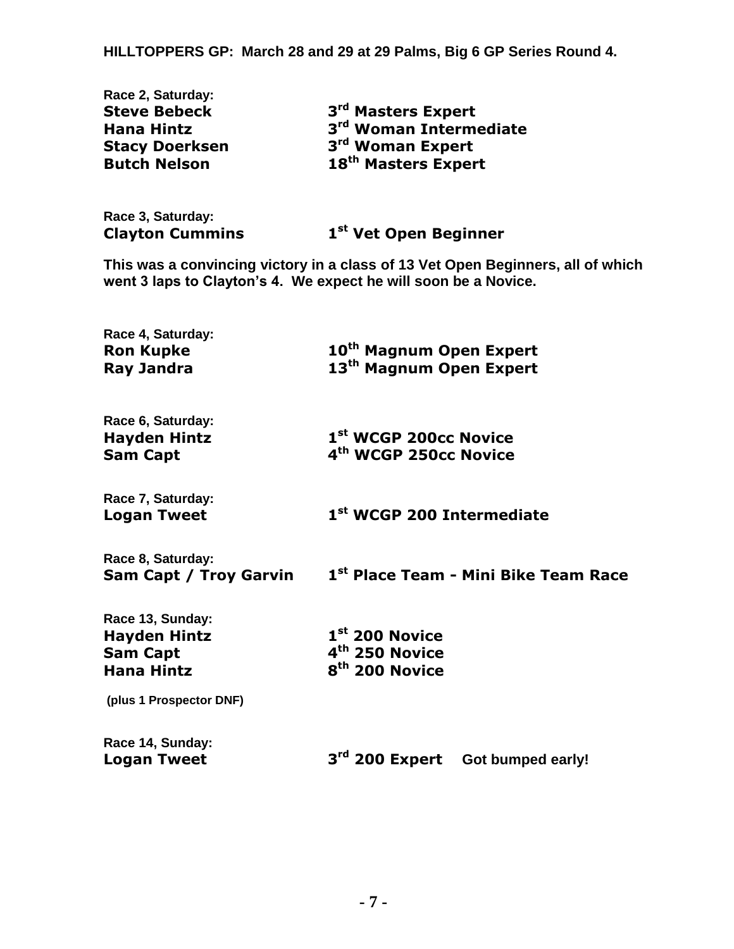**HILLTOPPERS GP: March 28 and 29 at 29 Palms, Big 6 GP Series Round 4.** 

| Race 2, Saturday:     |                                    |  |
|-----------------------|------------------------------------|--|
| <b>Steve Bebeck</b>   | 3 <sup>rd</sup> Masters Expert     |  |
| <b>Hana Hintz</b>     | 3 <sup>rd</sup> Woman Intermediate |  |
| <b>Stacy Doerksen</b> | 3 <sup>rd</sup> Woman Expert       |  |
| <b>Butch Nelson</b>   | 18 <sup>th</sup> Masters Expert    |  |
|                       |                                    |  |

**Race 3, Saturday: Clayton Cummins 1**

**st Vet Open Beginner** 

**This was a convincing victory in a class of 13 Vet Open Beginners, all of which went 3 laps to Clayton's 4. We expect he will soon be a Novice.** 

| Race 4, Saturday:<br><b>Ron Kupke</b><br><b>Ray Jandra</b>                      | 10 <sup>th</sup> Magnum Open Expert<br>13 <sup>th</sup> Magnum Open Expert   |  |  |
|---------------------------------------------------------------------------------|------------------------------------------------------------------------------|--|--|
| Race 6, Saturday:<br><b>Hayden Hintz</b><br><b>Sam Capt</b>                     | 1 <sup>st</sup> WCGP 200cc Novice<br>4 <sup>th</sup> WCGP 250cc Novice       |  |  |
| Race 7, Saturday:<br><b>Logan Tweet</b>                                         | 1 <sup>st</sup> WCGP 200 Intermediate                                        |  |  |
| Race 8, Saturday:<br>Sam Capt / Troy Garvin                                     | 1 <sup>st</sup> Place Team - Mini Bike Team Race                             |  |  |
| Race 13, Sunday:<br><b>Hayden Hintz</b><br><b>Sam Capt</b><br><b>Hana Hintz</b> | $1st$ 200 Novice<br>4 <sup>th</sup> 250 Novice<br>8 <sup>th</sup> 200 Novice |  |  |
| (plus 1 Prospector DNF)                                                         |                                                                              |  |  |
| Race 14, Sunday:<br><b>Logan Tweet</b>                                          | 3rd 200 Expert Got bumped early!                                             |  |  |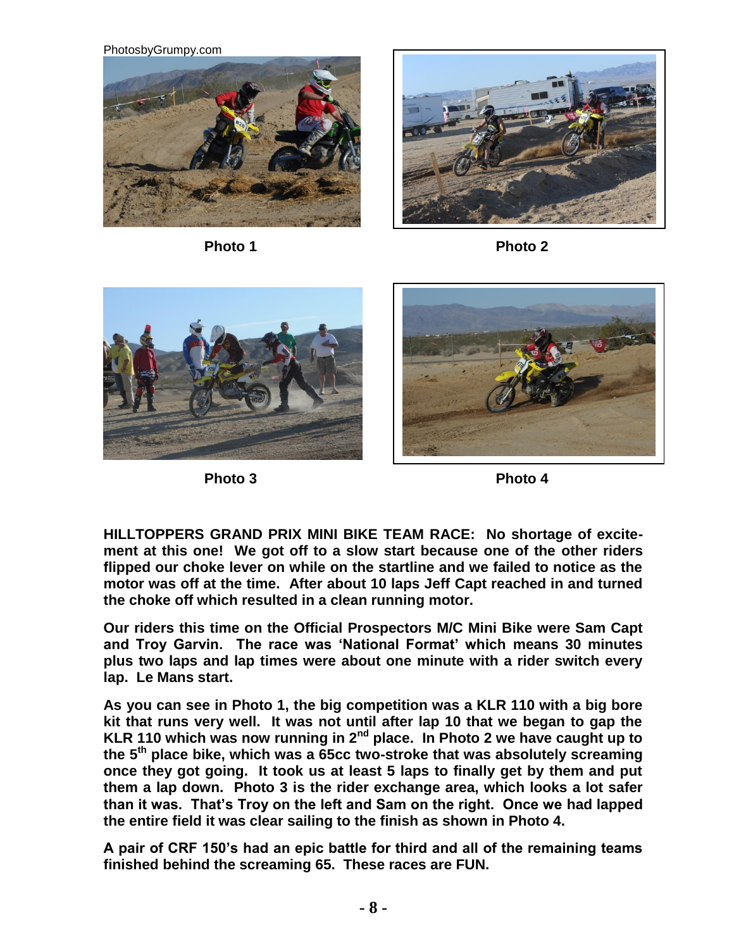PhotosbyGrumpy.com





Photo 1 Photo 2





Photo 3 Photo 4

**HILLTOPPERS GRAND PRIX MINI BIKE TEAM RACE: No shortage of excitement at this one! We got off to a slow start because one of the other riders flipped our choke lever on while on the startline and we failed to notice as the motor was off at the time. After about 10 laps Jeff Capt reached in and turned the choke off which resulted in a clean running motor.** 

**Our riders this time on the Official Prospectors M/C Mini Bike were Sam Capt and Troy Garvin. The race was 'National Format' which means 30 minutes plus two laps and lap times were about one minute with a rider switch every lap. Le Mans start.** 

**As you can see in Photo 1, the big competition was a KLR 110 with a big bore kit that runs very well. It was not until after lap 10 that we began to gap the KLR 110 which was now running in 2nd place. In Photo 2 we have caught up to the 5th place bike, which was a 65cc two-stroke that was absolutely screaming once they got going. It took us at least 5 laps to finally get by them and put them a lap down. Photo 3 is the rider exchange area, which looks a lot safer than it was. That's Troy on the left and Sam on the right. Once we had lapped the entire field it was clear sailing to the finish as shown in Photo 4.** 

**A pair of CRF 150's had an epic battle for third and all of the remaining teams finished behind the screaming 65. These races are FUN.**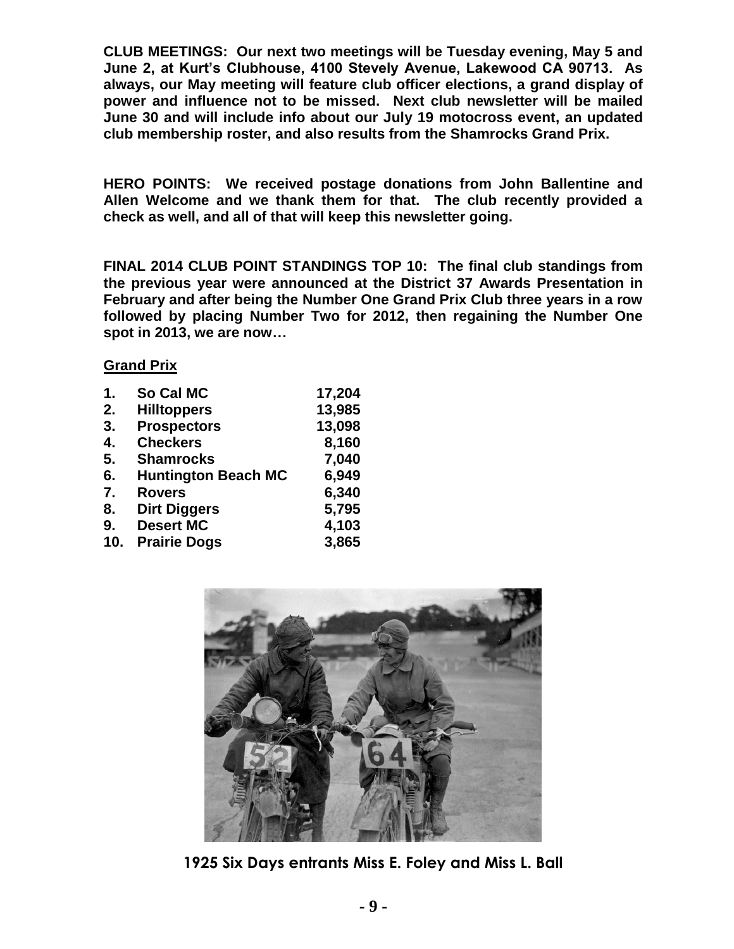**CLUB MEETINGS: Our next two meetings will be Tuesday evening, May 5 and June 2, at Kurt's Clubhouse, 4100 Stevely Avenue, Lakewood CA 90713. As always, our May meeting will feature club officer elections, a grand display of power and influence not to be missed. Next club newsletter will be mailed June 30 and will include info about our July 19 motocross event, an updated club membership roster, and also results from the Shamrocks Grand Prix.** 

**HERO POINTS: We received postage donations from John Ballentine and Allen Welcome and we thank them for that. The club recently provided a check as well, and all of that will keep this newsletter going.** 

**FINAL 2014 CLUB POINT STANDINGS TOP 10: The final club standings from the previous year were announced at the District 37 Awards Presentation in February and after being the Number One Grand Prix Club three years in a row followed by placing Number Two for 2012, then regaining the Number One spot in 2013, we are now…** 

## **Grand Prix**

| 1.  | So Cal MC                  | 17,204 |
|-----|----------------------------|--------|
| 2.  | <b>Hilltoppers</b>         | 13,985 |
| 3.  | <b>Prospectors</b>         | 13,098 |
| 4.  | <b>Checkers</b>            | 8,160  |
| 5.  | <b>Shamrocks</b>           | 7,040  |
| 6.  | <b>Huntington Beach MC</b> | 6,949  |
| 7.  | <b>Rovers</b>              | 6,340  |
| 8.  | <b>Dirt Diggers</b>        | 5,795  |
| 9.  | <b>Desert MC</b>           | 4,103  |
| 10. | <b>Prairie Dogs</b>        | 3,865  |



**1925 Six Days entrants Miss E. Foley and Miss L. Ball**